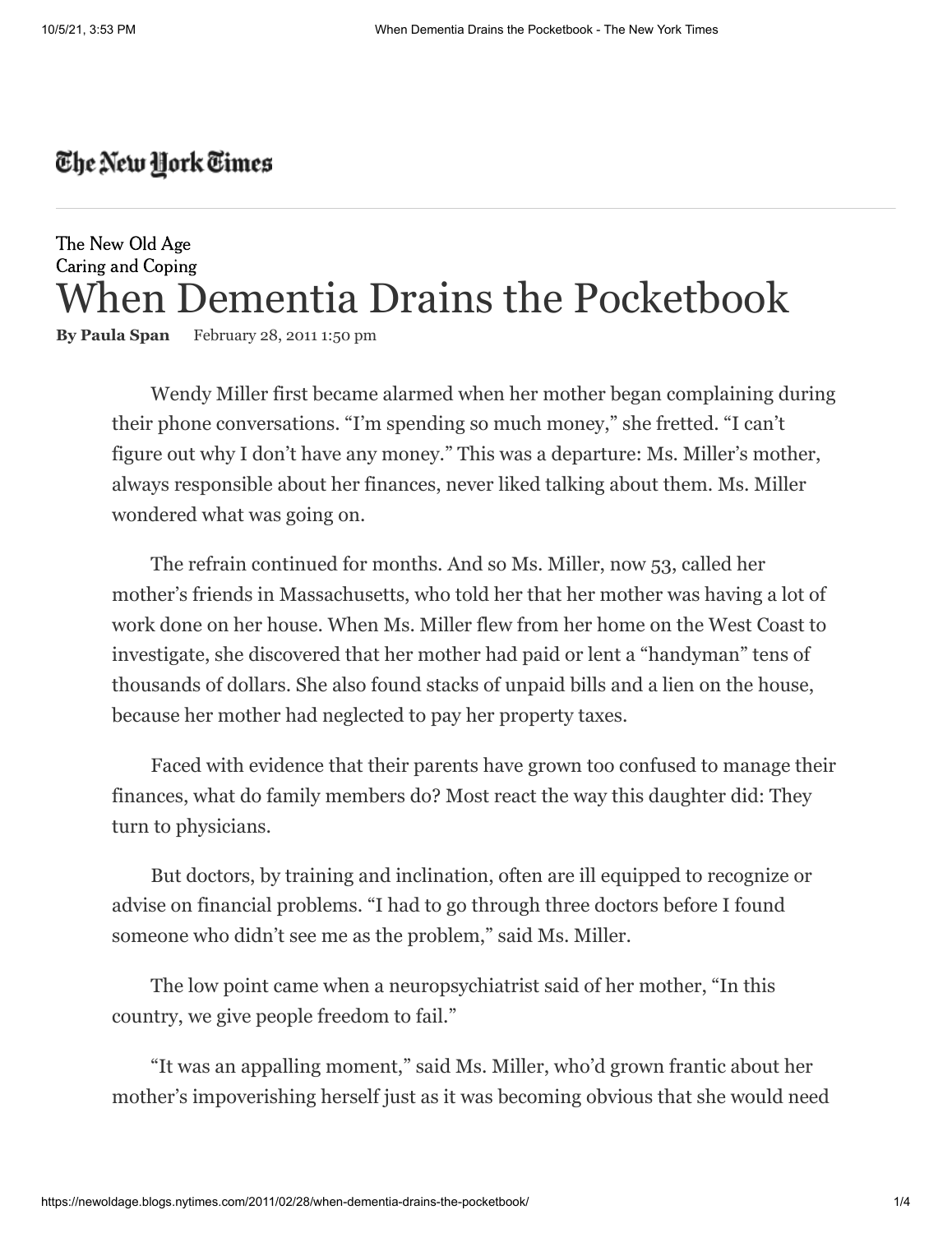## The New York Times

The New Old Age Caring and [Coping](https://newoldage.blogs.nytimes.com/?module=BlogMain&action=Click®ion=Header&pgtype=Blogs&version=Blog%20Post) When Dementia Drains the Pocketbook **By Paula Span** February 28, 2011 1:50 pm

Wendy Miller first became alarmed when her mother began complaining during their phone conversations. "I'm spending so much money," she fretted. "I can't figure out why I don't have any money." This was a departure: Ms. Miller's mother, always responsible about her finances, never liked talking about them. Ms. Miller wondered what was going on.

The refrain continued for months. And so Ms. Miller, now 53, called her mother's friends in Massachusetts, who told her that her mother was having a lot of work done on her house. When Ms. Miller flew from her home on the West Coast to investigate, she discovered that her mother had paid or lent a "handyman" tens of thousands of dollars. She also found stacks of unpaid bills and a lien on the house, because her mother had neglected to pay her property taxes.

Faced with evidence that their parents have grown too confused to manage their finances, what do family members do? Most react the way this daughter did: They turn to physicians.

But doctors, by training and inclination, often are ill equipped to recognize or advise on financial problems. "I had to go through three doctors before I found someone who didn't see me as the problem," said Ms. Miller.

The low point came when a neuropsychiatrist said of her mother, "In this country, we give people freedom to fail."

"It was an appalling moment," said Ms. Miller, who'd grown frantic about her mother's impoverishing herself just as it was becoming obvious that she would need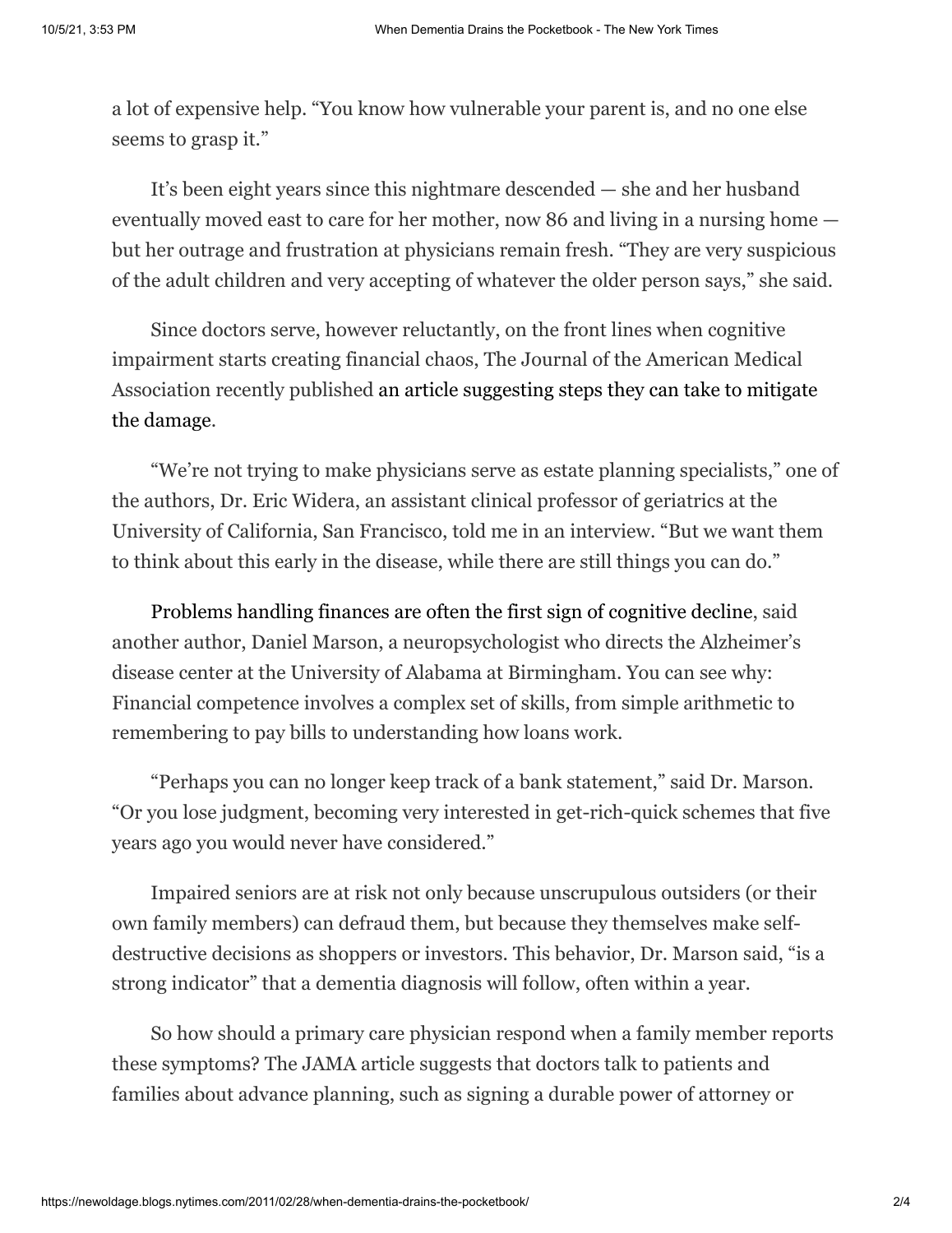a lot of expensive help. "You know how vulnerable your parent is, and no one else seems to grasp it."

It's been eight years since this nightmare descended — she and her husband eventually moved east to care for her mother, now 86 and living in a nursing home but her outrage and frustration at physicians remain fresh. "They are very suspicious of the adult children and very accepting of whatever the older person says," she said.

Since doctors serve, however reluctantly, on the front lines when cognitive impairment starts creating financial chaos, The Journal of the American Medical [Association](https://jama.ama-assn.org/content/305/7/698.full) recently published an article suggesting steps they can take to mitigate the damage.

"We're not trying to make physicians serve as estate planning specialists," one of the authors, Dr. Eric Widera, an assistant clinical professor of geriatrics at the University of California, San Francisco, told me in an interview. "But we want them to think about this early in the disease, while there are still things you can do."

[Problems](https://www.nytimes.com/2010/10/31/health/healthspecial/31finances.html) handling finances are often the first sign of cognitive decline, said another author, Daniel Marson, a neuropsychologist who directs the Alzheimer's disease center at the University of Alabama at Birmingham. You can see why: Financial competence involves a complex set of skills, from simple arithmetic to remembering to pay bills to understanding how loans work.

"Perhaps you can no longer keep track of a bank statement," said Dr. Marson. "Or you lose judgment, becoming very interested in get-rich-quick schemes that five years ago you would never have considered."

Impaired seniors are at risk not only because unscrupulous outsiders (or their own family members) can defraud them, but because they themselves make selfdestructive decisions as shoppers or investors. This behavior, Dr. Marson said, "is a strong indicator" that a dementia diagnosis will follow, often within a year.

So how should a primary care physician respond when a family member reports these symptoms? The JAMA article suggests that doctors talk to patients and families about advance planning, such as signing a durable power of attorney or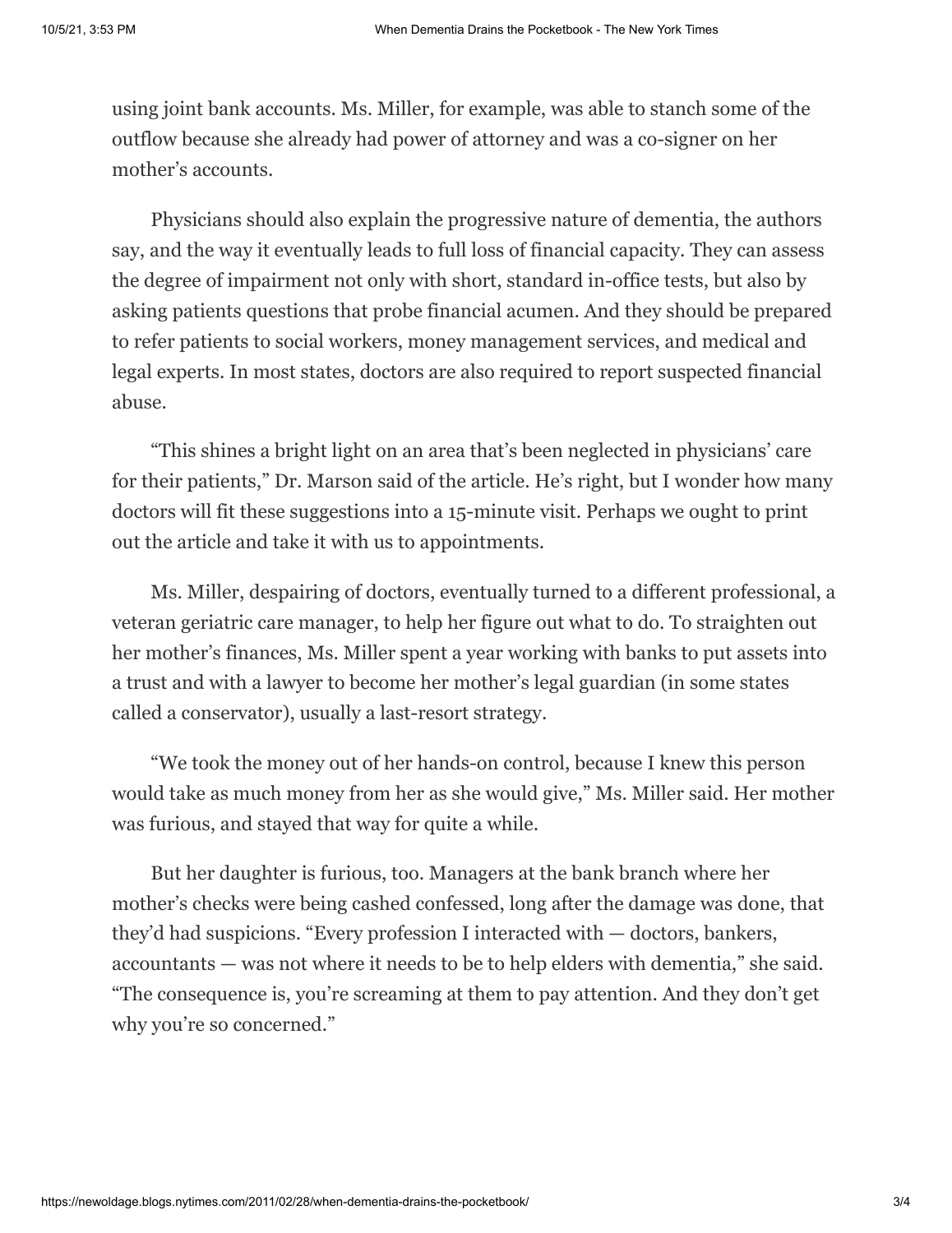using joint bank accounts. Ms. Miller, for example, was able to stanch some of the outflow because she already had power of attorney and was a co-signer on her mother's accounts.

Physicians should also explain the progressive nature of dementia, the authors say, and the way it eventually leads to full loss of financial capacity. They can assess the degree of impairment not only with short, standard in-office tests, but also by asking patients questions that probe financial acumen. And they should be prepared to refer patients to social workers, money management services, and medical and legal experts. In most states, doctors are also required to report suspected financial abuse.

"This shines a bright light on an area that's been neglected in physicians' care for their patients," Dr. Marson said of the article. He's right, but I wonder how many doctors will fit these suggestions into a 15-minute visit. Perhaps we ought to print out the article and take it with us to appointments.

Ms. Miller, despairing of doctors, eventually turned to a different professional, a veteran geriatric care manager, to help her figure out what to do. To straighten out her mother's finances, Ms. Miller spent a year working with banks to put assets into a trust and with a lawyer to become her mother's legal guardian (in some states called a conservator), usually a last-resort strategy.

"We took the money out of her hands-on control, because I knew this person would take as much money from her as she would give," Ms. Miller said. Her mother was furious, and stayed that way for quite a while.

But her daughter is furious, too. Managers at the bank branch where her mother's checks were being cashed confessed, long after the damage was done, that they'd had suspicions. "Every profession I interacted with — doctors, bankers, accountants — was not where it needs to be to help elders with dementia," she said. "The consequence is, you're screaming at them to pay attention. And they don't get why you're so concerned."